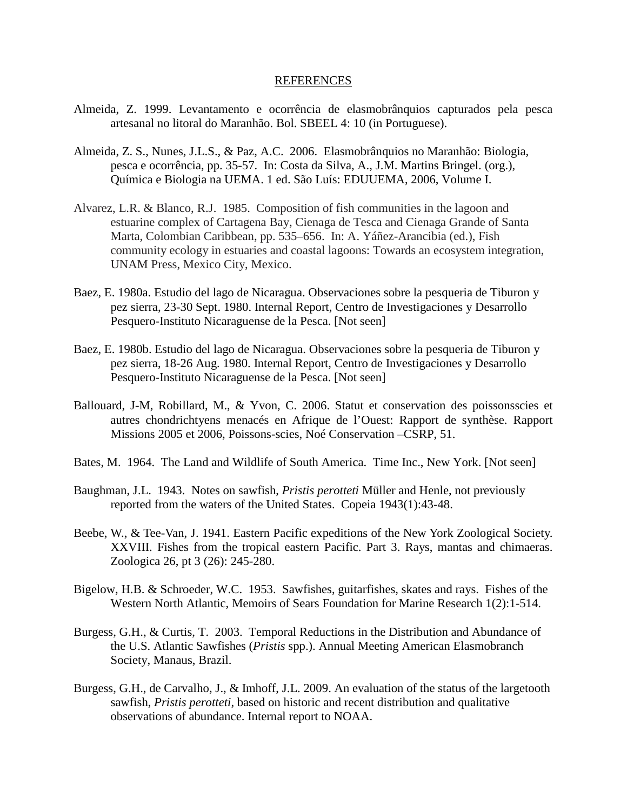## REFERENCES

- Almeida, Z. 1999. Levantamento e ocorrência de elasmobrânquios capturados pela pesca artesanal no litoral do Maranhão. Bol. SBEEL 4: 10 (in Portuguese).
- Almeida, Z. S., Nunes, J.L.S., & Paz, A.C. 2006. Elasmobrânquios no Maranhão: Biologia, pesca e ocorrência, pp. 35-57. In: Costa da Silva, A., J.M. Martins Bringel. (org.), Química e Biologia na UEMA. 1 ed. São Luís: EDUUEMA, 2006, Volume I.
- Alvarez, L.R. & Blanco, R.J. 1985. Composition of fish communities in the lagoon and estuarine complex of Cartagena Bay, Cienaga de Tesca and Cienaga Grande of Santa Marta, Colombian Caribbean, pp. 535–656. In: A. Yáñez-Arancibia (ed.), Fish community ecology in estuaries and coastal lagoons: Towards an ecosystem integration, UNAM Press, Mexico City, Mexico.
- Baez, E. 1980a. Estudio del lago de Nicaragua. Observaciones sobre la pesqueria de Tiburon y pez sierra, 23-30 Sept. 1980. Internal Report, Centro de Investigaciones y Desarrollo Pesquero-Instituto Nicaraguense de la Pesca. [Not seen]
- Baez, E. 1980b. Estudio del lago de Nicaragua. Observaciones sobre la pesqueria de Tiburon y pez sierra, 18-26 Aug. 1980. Internal Report, Centro de Investigaciones y Desarrollo Pesquero-Instituto Nicaraguense de la Pesca. [Not seen]
- Ballouard, J-M, Robillard, M., & Yvon, C. 2006. Statut et conservation des poissonsscies et autres chondrichtyens menacés en Afrique de l'Ouest: Rapport de synthèse. Rapport Missions 2005 et 2006, Poissons-scies, Noé Conservation –CSRP, 51.
- Bates, M. 1964. The Land and Wildlife of South America. Time Inc., New York. [Not seen]
- Baughman, J.L. 1943. Notes on sawfish, *Pristis perotteti* Müller and Henle, not previously reported from the waters of the United States. Copeia 1943(1):43-48.
- Beebe, W., & Tee-Van, J. 1941. Eastern Pacific expeditions of the New York Zoological Society. XXVIII. Fishes from the tropical eastern Pacific. Part 3. Rays, mantas and chimaeras. Zoologica 26, pt 3 (26): 245-280.
- Bigelow, H.B. & Schroeder, W.C. 1953. Sawfishes, guitarfishes, skates and rays. Fishes of the Western North Atlantic, Memoirs of Sears Foundation for Marine Research 1(2):1-514.
- Burgess, G.H., & Curtis, T. 2003. Temporal Reductions in the Distribution and Abundance of the U.S. Atlantic Sawfishes (*Pristis* spp.). Annual Meeting American Elasmobranch Society, Manaus, Brazil.
- Burgess, G.H., de Carvalho, J., & Imhoff, J.L. 2009. An evaluation of the status of the largetooth sawfish, *Pristis perotteti*, based on historic and recent distribution and qualitative observations of abundance. Internal report to NOAA.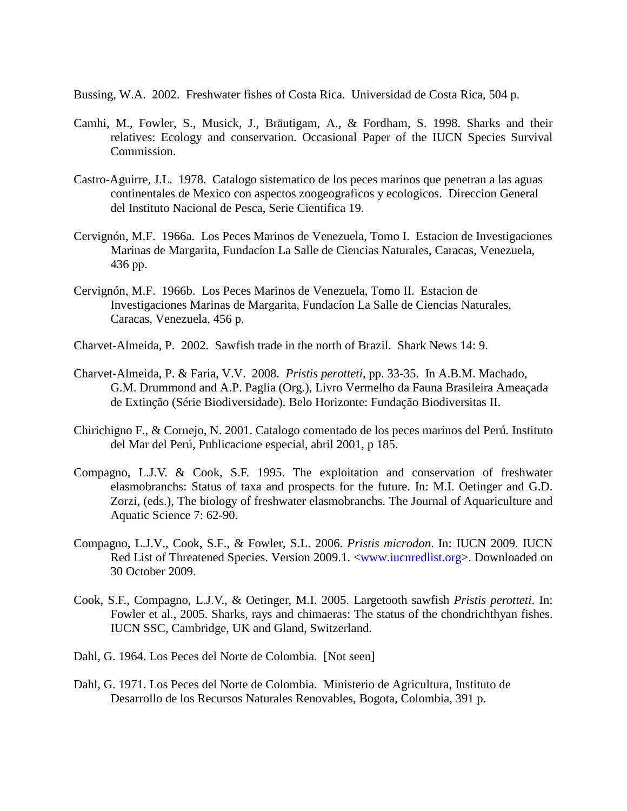Bussing, W.A. 2002. Freshwater fishes of Costa Rica. Universidad de Costa Rica, 504 p.

- Camhi, M., Fowler, S., Musick, J., Bräutigam, A., & Fordham, S. 1998. Sharks and their relatives: Ecology and conservation. Occasional Paper of the IUCN Species Survival Commission.
- Castro-Aguirre, J.L. 1978. Catalogo sistematico de los peces marinos que penetran a las aguas continentales de Mexico con aspectos zoogeograficos y ecologicos. Direccion General del Instituto Nacional de Pesca, Serie Cientifica 19.
- Cervignón, M.F. 1966a. Los Peces Marinos de Venezuela, Tomo I. Estacion de Investigaciones Marinas de Margarita, Fundacíon La Salle de Ciencias Naturales, Caracas, Venezuela, 436 pp.
- Cervignón, M.F. 1966b. Los Peces Marinos de Venezuela, Tomo II. Estacion de Investigaciones Marinas de Margarita, Fundacíon La Salle de Ciencias Naturales, Caracas, Venezuela, 456 p.
- Charvet-Almeida, P. 2002. Sawfish trade in the north of Brazil. Shark News 14: 9.
- Charvet-Almeida, P. & Faria, V.V. 2008. *Pristis perotteti*, pp. 33-35. In A.B.M. Machado, G.M. Drummond and A.P. Paglia (Org.), Livro Vermelho da Fauna Brasileira Ameaçada de Extinção (Série Biodiversidade). Belo Horizonte: Fundação Biodiversitas II.
- Chirichigno F., & Cornejo, N. 2001. Catalogo comentado de los peces marinos del Perú. Instituto del Mar del Perú, Publicacione especial, abril 2001, p 185.
- Compagno, L.J.V. & Cook, S.F. 1995. The exploitation and conservation of freshwater elasmobranchs: Status of taxa and prospects for the future. In: M.I. Oetinger and G.D. Zorzi, (eds.), The biology of freshwater elasmobranchs. The Journal of Aquariculture and Aquatic Science 7: 62-90.
- Compagno, L.J.V., Cook, S.F., & Fowler, S.L. 2006. *Pristis microdon*. In: IUCN 2009. IUCN Red List of Threatened Species. Version 2009.1. [<www.iucnredlist.org>](http://www.iucnredlist.org/). Downloaded on 30 October 2009.
- Cook, S.F., Compagno, L.J.V., & Oetinger, M.I. 2005. Largetooth sawfish *Pristis perotteti*. In: Fowler et al., 2005. Sharks, rays and chimaeras: The status of the chondrichthyan fishes. IUCN SSC, Cambridge, UK and Gland, Switzerland.
- Dahl, G. 1964. Los Peces del Norte de Colombia. [Not seen]
- Dahl, G. 1971. Los Peces del Norte de Colombia. Ministerio de Agricultura, Instituto de Desarrollo de los Recursos Naturales Renovables, Bogota, Colombia, 391 p.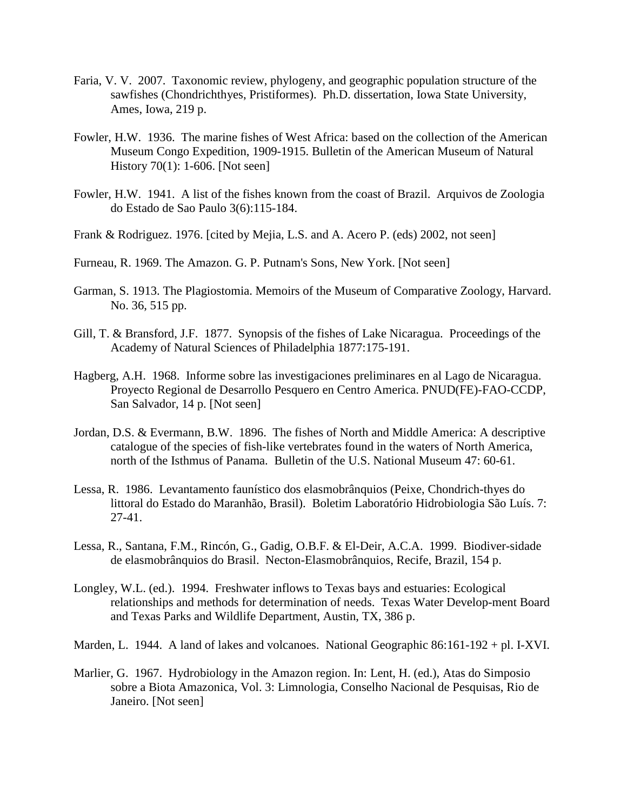- Faria, V. V. 2007. Taxonomic review, phylogeny, and geographic population structure of the sawfishes (Chondrichthyes, Pristiformes). Ph.D. dissertation, Iowa State University, Ames, Iowa, 219 p.
- Fowler, H.W. 1936. The marine fishes of West Africa: based on the collection of the American Museum Congo Expedition, 1909-1915. Bulletin of the American Museum of Natural History 70(1): 1-606. [Not seen]
- Fowler, H.W. 1941. A list of the fishes known from the coast of Brazil. Arquivos de Zoologia do Estado de Sao Paulo 3(6):115-184.
- Frank & Rodriguez. 1976. [cited by Mejia, L.S. and A. Acero P. (eds) 2002, not seen]
- Furneau, R. 1969. The Amazon. G. P. Putnam's Sons, New York. [Not seen]
- Garman, S. 1913. The Plagiostomia. Memoirs of the Museum of Comparative Zoology, Harvard. No. 36, 515 pp.
- Gill, T. & Bransford, J.F. 1877. Synopsis of the fishes of Lake Nicaragua. Proceedings of the Academy of Natural Sciences of Philadelphia 1877:175-191.
- Hagberg, A.H. 1968. Informe sobre las investigaciones preliminares en al Lago de Nicaragua. Proyecto Regional de Desarrollo Pesquero en Centro America. PNUD(FE)-FAO-CCDP, San Salvador, 14 p. [Not seen]
- Jordan, D.S. & Evermann, B.W. 1896. The fishes of North and Middle America: A descriptive catalogue of the species of fish-like vertebrates found in the waters of North America, north of the Isthmus of Panama. Bulletin of the U.S. National Museum 47: 60-61.
- Lessa, R. 1986. Levantamento faunístico dos elasmobrânquios (Peixe, Chondrich-thyes do littoral do Estado do Maranhão, Brasil). Boletim Laboratório Hidrobiologia São Luís. 7: 27-41.
- Lessa, R., Santana, F.M., Rincón, G., Gadig, O.B.F. & El-Deir, A.C.A. 1999. Biodiver-sidade de elasmobrânquios do Brasil. Necton-Elasmobrânquios, Recife, Brazil, 154 p.
- Longley, W.L. (ed.). 1994. Freshwater inflows to Texas bays and estuaries: Ecological relationships and methods for determination of needs. Texas Water Develop-ment Board and Texas Parks and Wildlife Department, Austin, TX, 386 p.
- Marden, L. 1944. A land of lakes and volcanoes. National Geographic 86:161-192 + pl. I-XVI.
- Marlier, G. 1967. Hydrobiology in the Amazon region. In: Lent, H. (ed.), Atas do Simposio sobre a Biota Amazonica, Vol. 3: Limnologia, Conselho Nacional de Pesquisas, Rio de Janeiro. [Not seen]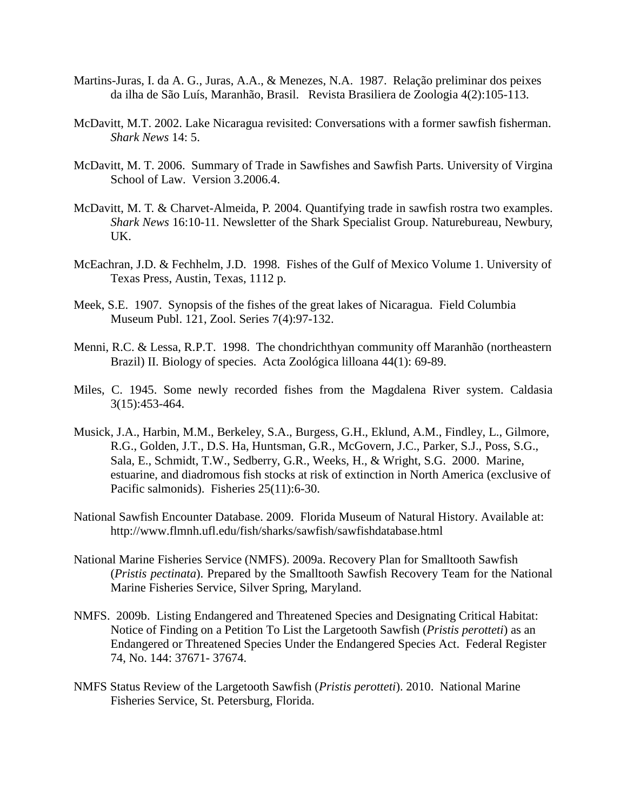- Martins-Juras, I. da A. G., Juras, A.A., & Menezes, N.A. 1987. Relação preliminar dos peixes da ilha de São Luís, Maranhão, Brasil. Revista Brasiliera de Zoologia 4(2):105-113.
- McDavitt, M.T. 2002. Lake Nicaragua revisited: Conversations with a former sawfish fisherman. *Shark News* 14: 5.
- McDavitt, M. T. 2006. Summary of Trade in Sawfishes and Sawfish Parts. University of Virgina School of Law. Version 3.2006.4.
- McDavitt, M. T. & Charvet-Almeida, P. 2004. Quantifying trade in sawfish rostra two examples. *Shark News* 16:10-11. Newsletter of the Shark Specialist Group. Naturebureau, Newbury, UK.
- McEachran, J.D. & Fechhelm, J.D. 1998. Fishes of the Gulf of Mexico Volume 1. University of Texas Press, Austin, Texas, 1112 p.
- Meek, S.E. 1907. Synopsis of the fishes of the great lakes of Nicaragua. Field Columbia Museum Publ. 121, Zool. Series 7(4):97-132.
- Menni, R.C. & Lessa, R.P.T. 1998. The chondrichthyan community off Maranhão (northeastern Brazil) II. Biology of species. Acta Zoológica lilloana 44(1): 69-89.
- Miles, C. 1945. Some newly recorded fishes from the Magdalena River system. Caldasia 3(15):453-464.
- Musick, J.A., Harbin, M.M., Berkeley, S.A., Burgess, G.H., Eklund, A.M., Findley, L., Gilmore, R.G., Golden, J.T., D.S. Ha, Huntsman, G.R., McGovern, J.C., Parker, S.J., Poss, S.G., Sala, E., Schmidt, T.W., Sedberry, G.R., Weeks, H., & Wright, S.G. 2000. Marine, estuarine, and diadromous fish stocks at risk of extinction in North America (exclusive of Pacific salmonids). Fisheries 25(11):6-30.
- National Sawfish Encounter Database. 2009. Florida Museum of Natural History. Available at: http://www.flmnh.ufl.edu/fish/sharks/sawfish/sawfishdatabase.html
- National Marine Fisheries Service (NMFS). 2009a. Recovery Plan for Smalltooth Sawfish (*Pristis pectinata*). Prepared by the Smalltooth Sawfish Recovery Team for the National Marine Fisheries Service, Silver Spring, Maryland.
- NMFS. 2009b. Listing Endangered and Threatened Species and Designating Critical Habitat: Notice of Finding on a Petition To List the Largetooth Sawfish (*Pristis perotteti*) as an Endangered or Threatened Species Under the Endangered Species Act. Federal Register 74, No. 144: 37671- 37674.
- NMFS Status Review of the Largetooth Sawfish (*Pristis perotteti*). 2010. National Marine Fisheries Service, St. Petersburg, Florida.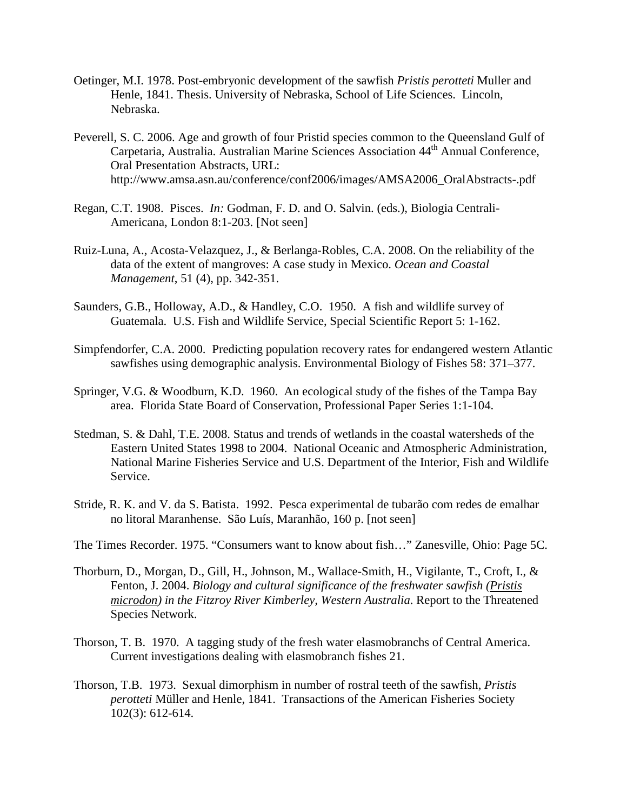- Oetinger, M.I. 1978. Post-embryonic development of the sawfish *Pristis perotteti* Muller and Henle, 1841. Thesis. University of Nebraska, School of Life Sciences. Lincoln, Nebraska.
- Peverell, S. C. 2006. Age and growth of four Pristid species common to the Queensland Gulf of Carpetaria, Australia. Australian Marine Sciences Association 44<sup>th</sup> Annual Conference. Oral Presentation Abstracts, URL: http://www.amsa.asn.au/conference/conf2006/images/AMSA2006\_OralAbstracts-.pdf
- Regan, C.T. 1908. Pisces. *In:* Godman, F. D. and O. Salvin. (eds.), Biologia Centrali-Americana, London 8:1-203. [Not seen]
- Ruiz-Luna, A., Acosta-Velazquez, J., & Berlanga-Robles, C.A. 2008. On the reliability of the data of the extent of mangroves: A case study in Mexico. *Ocean and Coastal Management*, 51 (4), pp. 342-351.
- Saunders, G.B., Holloway, A.D., & Handley, C.O. 1950. A fish and wildlife survey of Guatemala. U.S. Fish and Wildlife Service, Special Scientific Report 5: 1-162.
- Simpfendorfer, C.A. 2000. Predicting population recovery rates for endangered western Atlantic sawfishes using demographic analysis. Environmental Biology of Fishes 58: 371–377.
- Springer, V.G. & Woodburn, K.D. 1960. An ecological study of the fishes of the Tampa Bay area. Florida State Board of Conservation, Professional Paper Series 1:1-104.
- Stedman, S. & Dahl, T.E. 2008. Status and trends of wetlands in the coastal watersheds of the Eastern United States 1998 to 2004. National Oceanic and Atmospheric Administration, National Marine Fisheries Service and U.S. Department of the Interior, Fish and Wildlife Service.
- Stride, R. K. and V. da S. Batista. 1992. Pesca experimental de tubarão com redes de emalhar no litoral Maranhense. São Luís, Maranhão, 160 p. [not seen]
- The Times Recorder. 1975. "Consumers want to know about fish…" Zanesville, Ohio: Page 5C.
- Thorburn, D., Morgan, D., Gill, H., Johnson, M., Wallace-Smith, H., Vigilante, T., Croft, I., & Fenton, J. 2004. *Biology and cultural significance of the freshwater sawfish (Pristis microdon) in the Fitzroy River Kimberley, Western Australia*. Report to the Threatened Species Network.
- Thorson, T. B. 1970. A tagging study of the fresh water elasmobranchs of Central America. Current investigations dealing with elasmobranch fishes 21.
- Thorson, T.B. 1973. Sexual dimorphism in number of rostral teeth of the sawfish, *Pristis perotteti* Müller and Henle, 1841. Transactions of the American Fisheries Society 102(3): 612-614.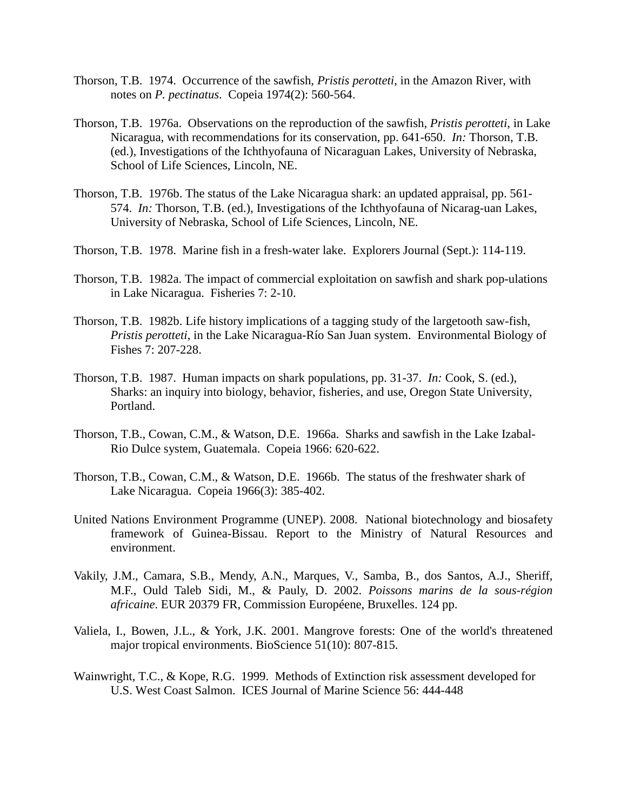- Thorson, T.B. 1974. Occurrence of the sawfish, *Pristis perotteti*, in the Amazon River, with notes on *P. pectinatus*. Copeia 1974(2): 560-564.
- Thorson, T.B. 1976a. Observations on the reproduction of the sawfish, *Pristis perotteti*, in Lake Nicaragua, with recommendations for its conservation, pp. 641-650. *In:* Thorson, T.B. (ed.), Investigations of the Ichthyofauna of Nicaraguan Lakes, University of Nebraska, School of Life Sciences, Lincoln, NE.
- Thorson, T.B. 1976b. The status of the Lake Nicaragua shark: an updated appraisal, pp. 561- 574. *In:* Thorson, T.B. (ed.), Investigations of the Ichthyofauna of Nicarag-uan Lakes, University of Nebraska, School of Life Sciences, Lincoln, NE.
- Thorson, T.B. 1978. Marine fish in a fresh-water lake. Explorers Journal (Sept.): 114-119.
- Thorson, T.B. 1982a. The impact of commercial exploitation on sawfish and shark pop-ulations in Lake Nicaragua. Fisheries 7: 2-10.
- Thorson, T.B. 1982b. Life history implications of a tagging study of the largetooth saw-fish, *Pristis perotteti*, in the Lake Nicaragua-Río San Juan system. Environmental Biology of Fishes 7: 207-228.
- Thorson, T.B. 1987. Human impacts on shark populations, pp. 31-37. *In:* Cook, S. (ed.), Sharks: an inquiry into biology, behavior, fisheries, and use, Oregon State University, Portland.
- Thorson, T.B., Cowan, C.M., & Watson, D.E. 1966a. Sharks and sawfish in the Lake Izabal-Rio Dulce system, Guatemala. Copeia 1966: 620-622.
- Thorson, T.B., Cowan, C.M., & Watson, D.E. 1966b. The status of the freshwater shark of Lake Nicaragua. Copeia 1966(3): 385-402.
- United Nations Environment Programme (UNEP). 2008. National biotechnology and biosafety framework of Guinea-Bissau. Report to the Ministry of Natural Resources and environment.
- Vakily, J.M., Camara, S.B., Mendy, A.N., Marques, V., Samba, B., dos Santos, A.J., Sheriff, M.F., Ould Taleb Sidi, M., & Pauly, D. 2002. *Poissons marins de la sous-région africaine*. EUR 20379 FR, Commission Européene, Bruxelles. 124 pp.
- Valiela, I., Bowen, J.L., & York, J.K. 2001. [Mangrove forests: One of the world's threatened](http://caliber.ucpress.net/doi/abs/10.1641/0006-3568%282001%29051%5B0807:MFOOTW%5D2.0.CO%3B2)  [major tropical environments.](http://caliber.ucpress.net/doi/abs/10.1641/0006-3568%282001%29051%5B0807:MFOOTW%5D2.0.CO%3B2) BioScience 51(10): 807-815.
- Wainwright, T.C., & Kope, R.G. 1999. Methods of Extinction risk assessment developed for U.S. West Coast Salmon. ICES Journal of Marine Science 56: 444-448